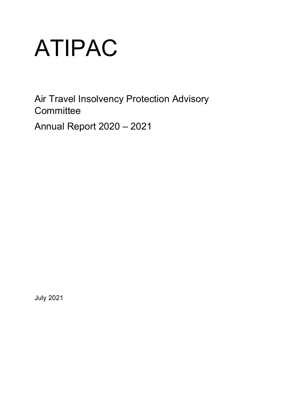# ATIPAC

Air Travel Insolvency Protection Advisory **Committee** 

Annual Report 2020 – 2021

July 2021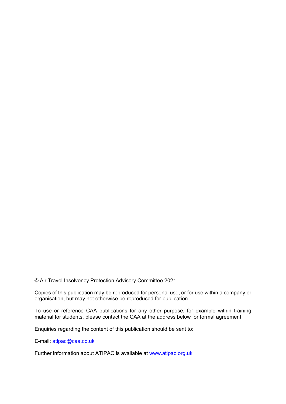© Air Travel Insolvency Protection Advisory Committee 2021

Copies of this publication may be reproduced for personal use, or for use within a company or organisation, but may not otherwise be reproduced for publication.

To use or reference CAA publications for any other purpose, for example within training material for students, please contact the CAA at the address below for formal agreement.

Enquiries regarding the content of this publication should be sent to:

E-mail: [atipac@caa.co.uk](mailto:atipac@caa.co.uk)

Further information about ATIPAC is available at [www.atipac.org.uk](http://www.atipac.org.uk/)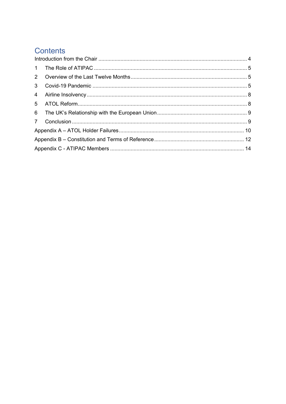# Contents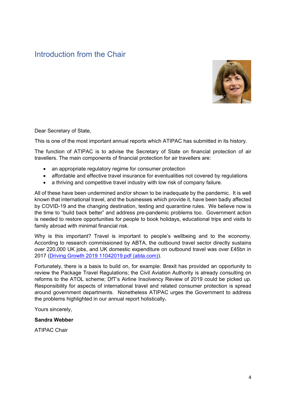# <span id="page-3-0"></span>Introduction from the Chair



Dear Secretary of State,

This is one of the most important annual reports which ATIPAC has submitted in its history.

The function of ATIPAC is to advise the Secretary of State on financial protection of air travellers. The main components of financial protection for air travellers are:

- an appropriate regulatory regime for consumer protection
- affordable and effective travel insurance for eventualities not covered by regulations
- a thriving and competitive travel industry with low risk of company failure.

All of these have been undermined and/or shown to be inadequate by the pandemic. It is well known that international travel, and the businesses which provide it, have been badly affected by COVID-19 and the changing destination, testing and quarantine rules. We believe now is the time to "build back better" and address pre-pandemic problems too. Government action is needed to restore opportunities for people to book holidays, educational trips and visits to family abroad with minimal financial risk.

Why is this important? Travel is important to people's wellbeing and to the economy. According to research commissioned by ABTA, the outbound travel sector directly sustains over 220,000 UK jobs, and UK domestic expenditure on outbound travel was over £45bn in 2017 [\(Driving Growth 2019 11042019.pdf \(abta.com\)\)](https://www.abta.com/system/files/media/uploads/Driving%20Growth%202019%2011042019.pdf).

Fortunately, there is a basis to build on, for example: Brexit has provided an opportunity to review the Package Travel Regulations; the Civil Aviation Authority is already consulting on reforms to the ATOL scheme; DfT's Airline Insolvency Review of 2019 could be picked up. Responsibility for aspects of international travel and related consumer protection is spread around government departments. Nonetheless ATIPAC urges the Government to address the problems highlighted in our annual report holistically**.** 

Yours sincerely,

## **Sandra Webber**

ATIPAC Chair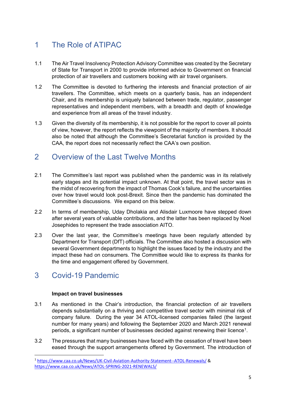# <span id="page-4-0"></span>1 The Role of ATIPAC

- 1.1 The Air Travel Insolvency Protection Advisory Committee was created by the Secretary of State for Transport in 2000 to provide informed advice to Government on financial protection of air travellers and customers booking with air travel organisers.
- 1.2 The Committee is devoted to furthering the interests and financial protection of air travellers. The Committee, which meets on a quarterly basis, has an independent Chair, and its membership is uniquely balanced between trade, regulator, passenger representatives and independent members, with a breadth and depth of knowledge and experience from all areas of the travel industry.
- 1.3 Given the diversity of its membership, it is not possible for the report to cover all points of view, however, the report reflects the viewpoint of the majority of members. It should also be noted that although the Committee's Secretariat function is provided by the CAA, the report does not necessarily reflect the CAA's own position.

# <span id="page-4-1"></span>2 Overview of the Last Twelve Months

- 2.1 The Committee's last report was published when the pandemic was in its relatively early stages and its potential impact unknown. At that point, the travel sector was in the midst of recovering from the impact of Thomas Cook's failure, and the uncertainties over how travel would look post-Brexit. Since then the pandemic has dominated the Committee's discussions. We expand on this below.
- 2.2 In terms of membership, Uday Dholakia and Alisdair Luxmoore have stepped down after several years of valuable contributions, and the latter has been replaced by Noel Josephides to represent the trade association AITO.
- 2.3 Over the last year, the Committee's meetings have been regularly attended by Department for Transport (DfT) officials. The Committee also hosted a discussion with several Government departments to highlight the issues faced by the industry and the impact these had on consumers. The Committee would like to express its thanks for the time and engagement offered by Government.

# <span id="page-4-2"></span>3 Covid-19 Pandemic

# **Impact on travel businesses**

- 3.1 As mentioned in the Chair's introduction, the financial protection of air travellers depends substantially on a thriving and competitive travel sector with minimal risk of company failure. During the year 34 ATOL-licensed companies failed (the largest number for many years) and following the September 2020 and March 2021 renewal periods, a significant number of businesses decided against renewing their licence[1.](#page-4-3)
- 3.2 The pressures that many businesses have faced with the cessation of travel have been eased through the support arrangements offered by Government. The introduction of

<span id="page-4-3"></span><sup>1</sup> <https://www.caa.co.uk/News/UK-Civil-Aviation-Authority-Statement--ATOL-Renewals/> & <https://www.caa.co.uk/News/ATOL-SPRING-2021-RENEWALS/>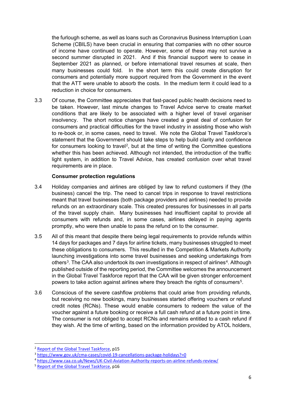the furlough scheme, as well as loans such as Coronavirus Business Interruption Loan Scheme (CBILS) have been crucial in ensuring that companies with no other source of income have continued to operate. However, some of these may not survive a second summer disrupted in 2021. And if this financial support were to cease in September 2021 as planned, or before international travel resumes at scale, then many businesses could fold. In the short term this could create disruption for consumers and potentially more support required from the Government in the event that the ATT were unable to absorb the costs. In the medium term it could lead to a reduction in choice for consumers.

3.3 Of course, the Committee appreciates that fast-paced public health decisions need to be taken. However, last minute changes to Travel Advice serve to create market conditions that are likely to be associated with a higher level of travel organiser insolvency. The short notice changes have created a great deal of confusion for consumers and practical difficulties for the travel industry in assisting those who wish to re-book or, in some cases, need to travel. We note the Global Travel Taskforce's statement that the Government should take steps to help build clarity and confidence for consumers looking to travel<sup>[2](#page-5-0)</sup>, but at the time of writing the Committee questions whether this has been achieved. Although not intended, the introduction of the traffic light system, in addition to Travel Advice, has created confusion over what travel requirements are in place.

## **Consumer protection regulations**

- 3.4 Holiday companies and airlines are obliged by law to refund customers if they (the business) cancel the trip. The need to cancel trips in response to travel restrictions meant that travel businesses (both package providers and airlines) needed to provide refunds on an extraordinary scale. This created pressures for businesses in all parts of the travel supply chain. Many businesses had insufficient capital to provide all consumers with refunds and, in some cases, airlines delayed in paying agents promptly, who were then unable to pass the refund on to the consumer.
- 3.5 All of this meant that despite there being legal requirements to provide refunds within 14 days for packages and 7 days for airline tickets, many businesses struggled to meet these obligations to consumers. This resulted in the Competition & Markets Authority launching investigations into some travel businesses and seeking undertakings from others<sup>3</sup>. The CAA also undertook its own investigations in respect of airlines<sup>[4](#page-5-2)</sup>. Although published outside of the reporting period, the Committee welcomes the announcement in the Global Travel Taskforce report that the CAA will be given stronger enforcement powers to take action against airlines where they breach the rights of consumers<sup>5</sup>.
- 3.6 Conscious of the severe cashflow problems that could arise from providing refunds, but receiving no new bookings, many businesses started offering vouchers or refund credit notes (RCNs). These would enable consumers to redeem the value of the voucher against a future booking or receive a full cash refund at a future point in time. The consumer is not obliged to accept RCNs and remains entitled to a cash refund if they wish. At the time of writing, based on the information provided by ATOL holders,

<span id="page-5-0"></span><sup>&</sup>lt;sup>2</sup> [Report of the Global Travel Taskforce,](https://assets.publishing.service.gov.uk/government/uploads/system/uploads/attachment_data/file/977298/Report-of-the-Global-Travel-Taskforce-web.pdf) p15

<span id="page-5-1"></span><sup>3</sup> <https://www.gov.uk/cma-cases/covid-19-cancellations-package-holidays?=0>

<span id="page-5-2"></span><sup>4</sup> <https://www.caa.co.uk/News/UK-Civil-Aviation-Authority-reports-on-airline-refunds-review/>

<span id="page-5-3"></span><sup>&</sup>lt;sup>5</sup> Report of the [Global Travel Taskforce,](https://assets.publishing.service.gov.uk/government/uploads/system/uploads/attachment_data/file/977298/Report-of-the-Global-Travel-Taskforce-web.pdf) p16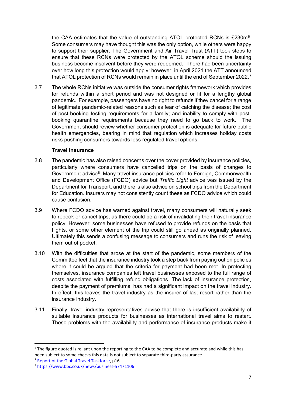the CAA estimates that the value of outstanding ATOL protected RCNs is £230m[6](#page-6-0). Some consumers may have thought this was the only option, while others were happy to support their supplier. The Government and Air Travel Trust (ATT) took steps to ensure that these RCNs were protected by the ATOL scheme should the issuing business become insolvent before they were redeemed. There had been uncertainty over how long this protection would apply; however, in April 2021 the ATT announced that ATOL protection of RCNs would remain in place until the end of September 2022.<sup>[7](#page-6-1)</sup>

3.7 The whole RCNs initiative was outside the consumer rights framework which provides for refunds within a short period and was not designed or fit for a lengthy global pandemic. For example, passengers have no right to refunds if they cancel for a range of legitimate pandemic-related reasons such as fear of catching the disease; the cost of post-booking testing requirements for a family; and inability to comply with postbooking quarantine requirements because they need to go back to work. The Government should review whether consumer protection is adequate for future public health emergencies, bearing in mind that regulation which increases holiday costs risks pushing consumers towards less regulated travel options.

## **Travel insurance**

- 3.8 The pandemic has also raised concerns over the cover provided by insurance policies, particularly where consumers have cancelled trips on the basis of changes to Government advice<sup>8</sup>. Many travel insurance policies refer to Foreign, Commonwealth and Development Office (FCDO) advice but *Traffic Light* advice was issued by the Department for Transport, and there is also advice on school trips from the Department for Education. Insurers may not consistently count these as FCDO advice which could cause confusion.
- 3.9 Where FCDO advice has warned against travel, many consumers will naturally seek to rebook or cancel trips, as there could be a risk of invalidating their travel insurance policy. However, some businesses have refused to provide refunds on the basis that flights, or some other element of the trip could still go ahead as originally planned. Ultimately this sends a confusing message to consumers and runs the risk of leaving them out of pocket.
- 3.10 With the difficulties that arose at the start of the pandemic, some members of the Committee feel that the insurance industry took a step back from paying out on policies where it could be argued that the criteria for payment had been met. In protecting themselves, insurance companies left travel businesses exposed to the full range of costs associated with fulfilling refund obligations. The lack of insurance protection, despite the payment of premiums, has had a significant impact on the travel industry. In effect, this leaves the travel industry as the insurer of last resort rather than the insurance industry.
- 3.11 Finally, travel industry representatives advise that there is insufficient availability of suitable insurance products for businesses as international travel aims to restart. These problems with the availability and performance of insurance products make it

<span id="page-6-0"></span><sup>&</sup>lt;sup>6</sup> The figure quoted is reliant upon the reporting to the CAA to be complete and accurate and while this has been subject to some checks this data is not subject to separate third-party assurance.

<span id="page-6-1"></span><sup>7</sup> [Report of the Global Travel Taskforce,](https://assets.publishing.service.gov.uk/government/uploads/system/uploads/attachment_data/file/977298/Report-of-the-Global-Travel-Taskforce-web.pdf) p16

<span id="page-6-2"></span><sup>8</sup> [https://www.bbc.co.uk/news/business-57471106](https://urldefense.com/v3/__https:/www.bbc.co.uk/news/business-57471106__;!!LYoxqgdACpI!YKQ-ORHDGjvl6aa4Gfc9UVTbprPmJhEPlLY7VH4XpiXv5LGvkdVQ40Q0XEP7YGHJohU38Q$)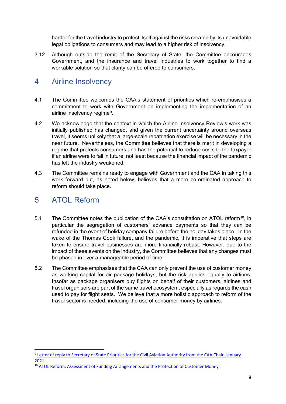harder for the travel industry to protect itself against the risks created by its unavoidable legal obligations to consumers and may lead to a higher risk of insolvency.

3.12 Although outside the remit of the Secretary of State, the Committee encourages Government, and the insurance and travel industries to work together to find a workable solution so that clarity can be offered to consumers.

# <span id="page-7-0"></span>4 Airline Insolvency

- 4.1 The Committee welcomes the CAA's statement of priorities which re-emphasises a commitment to work with Government on implementing the implementation of an airline insolvency regime<sup>9</sup>.
- 4.2 We acknowledge that the context in which the Airline Insolvency Review's work was initially published has changed, and given the current uncertainty around overseas travel, it seems unlikely that a large-scale repatriation exercise will be necessary in the near future. Nevertheless, the Committee believes that there is merit in developing a regime that protects consumers and has the potential to reduce costs to the taxpayer if an airline were to fail in future, not least because the financial impact of the pandemic has left the industry weakened.
- 4.3 The Committee remains ready to engage with Government and the CAA in taking this work forward but, as noted below, believes that a more co-ordinated approach to reform should take place.

# <span id="page-7-1"></span>5 ATOL Reform

- 5.1 The Committee notes the publication of the CAA's consultation on ATOL reform<sup>[10](#page-7-3)</sup>, in particular the segregation of customers' advance payments so that they can be refunded in the event of holiday company failure before the holiday takes place. In the wake of the Thomas Cook failure, and the pandemic, it is imperative that steps are taken to ensure travel businesses are more financially robust. However, due to the impact of these events on the industry, the Committee believes that any changes must be phased in over a manageable period of time.
- 5.2 The Committee emphasises that the CAA can only prevent the use of customer money as working capital for air package holidays, but the risk applies equally to airlines. Insofar as package organisers buy flights on behalf of their customers, airlines and travel organisers are part of the same travel ecosystem, especially as regards the cash used to pay for flight seats. We believe that a more holistic approach to reform of the travel sector is needed, including the use of consumer money by airlines.

<span id="page-7-2"></span><sup>&</sup>lt;sup>9</sup> Letter of reply to Secretary of State Priorities for the Civil Aviation Authority from the CAA Chair, January [2021](https://publicapps.caa.co.uk/docs/33/SoS%20CAA%20Priorities%20response%20January%202021.pdf)

<span id="page-7-3"></span><sup>&</sup>lt;sup>10</sup> [ATOL Reform: Assessment of Funding Arrangements and the Protection of Customer Money](https://consultations.caa.co.uk/cmg/atol-reform/)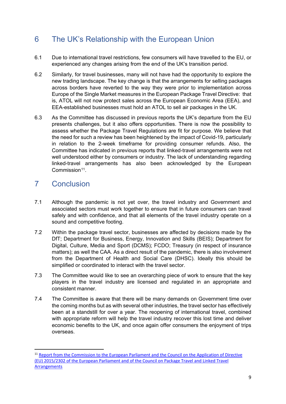# <span id="page-8-0"></span>6 The UK's Relationship with the European Union

- 6.1 Due to international travel restrictions, few consumers will have travelled to the EU, or experienced any changes arising from the end of the UK's transition period.
- 6.2 Similarly, for travel businesses, many will not have had the opportunity to explore the new trading landscape. The key change is that the arrangements for selling packages across borders have reverted to the way they were prior to implementation across Europe of the Single Market measures in the European Package Travel Directive: that is, ATOL will not now protect sales across the European Economic Area (EEA), and EEA-established businesses must hold an ATOL to sell air packages in the UK.
- 6.3 As the Committee has discussed in previous reports the UK's departure from the EU presents challenges, but it also offers opportunities. There is now the possibility to assess whether the Package Travel Regulations are fit for purpose. We believe that the need for such a review has been heightened by the impact of Covid-19, particularly in relation to the 2-week timeframe for providing consumer refunds. Also, the Committee has indicated in previous reports that linked-travel arrangements were not well understood either by consumers or industry. The lack of understanding regarding linked-travel arrangements has also been acknowledged by the European  $Common<sup>11</sup>$

# <span id="page-8-1"></span>7 Conclusion

- 7.1 Although the pandemic is not yet over, the travel industry and Government and associated sectors must work together to ensure that in future consumers can travel safely and with confidence, and that all elements of the travel industry operate on a sound and competitive footing.
- 7.2 Within the package travel sector, businesses are affected by decisions made by the DfT; Department for Business, Energy, Innovation and Skills (BEIS); Department for Digital, Culture, Media and Sport (DCMS); FCDO; Treasury (in respect of insurance matters); as well the CAA. As a direct result of the pandemic, there is also involvement from the Department of Health and Social Care (DHSC). Ideally this should be simplified or coordinated to interact with the travel sector.
- 7.3 The Committee would like to see an overarching piece of work to ensure that the key players in the travel industry are licensed and regulated in an appropriate and consistent manner.
- 7.4 The Committee is aware that there will be many demands on Government time over the coming months but as with several other industries, the travel sector has effectively been at a standstill for over a year. The reopening of international travel, combined with appropriate reform will help the travel industry recover this lost time and deliver economic benefits to the UK, and once again offer consumers the enjoyment of trips overseas.

<span id="page-8-2"></span><sup>&</sup>lt;sup>11</sup> Report from the Commission to the European Parliament and the Council on the Application of Directive [\(EU\) 2015/2302 of the European Parliament and of the Council on Package Travel and Linked Travel](https://eur-lex.europa.eu/legal-content/EN/TXT/?uri=COM%3A2021%3A90%3AFIN)  [Arrangements](https://eur-lex.europa.eu/legal-content/EN/TXT/?uri=COM%3A2021%3A90%3AFIN)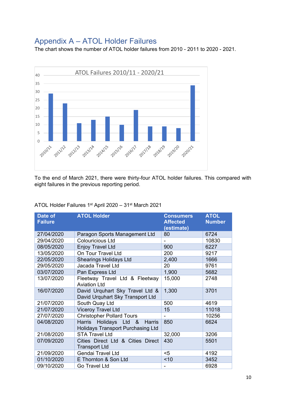# <span id="page-9-0"></span>Appendix A – ATOL Holder Failures

The chart shows the number of ATOL holder failures from 2010 - 2011 to 2020 - 2021.



To the end of March 2021, there were thirty-four ATOL holder failures. This compared with eight failures in the previous reporting period.

| ATOL Holder Failures 1st April 2020 – 31st March 2021 |  |  |
|-------------------------------------------------------|--|--|
|-------------------------------------------------------|--|--|

| Date of<br><b>Failure</b> | <b>ATOL Holder</b>                                                                    | <b>Consumers</b><br><b>Affected</b><br>(estimate) | <b>ATOL</b><br><b>Number</b> |
|---------------------------|---------------------------------------------------------------------------------------|---------------------------------------------------|------------------------------|
| 27/04/2020                | Paragon Sports Management Ltd                                                         | 80                                                | 6724                         |
| 29/04/2020                | <b>Colouricious Ltd</b>                                                               |                                                   | 10830                        |
| 08/05/2020                | <b>Enjoy Travel Ltd</b>                                                               | 900                                               | 6227                         |
| 13/05/2020                | On Tour Travel Ltd                                                                    | 200                                               | 9217                         |
| 22/05/2020                | <b>Shearings Holidays Ltd</b>                                                         | 2,400                                             | 1666                         |
| 29/05/2020                | Jacada Travel Ltd                                                                     | 20                                                | 9761                         |
| 03/07/2020                | Pan Express Ltd                                                                       | 1,900                                             | 5682                         |
| 13/07/2020                | Fleetway Travel Ltd & Fleetway<br><b>Aviation Ltd</b>                                 | 15,000                                            | 2748                         |
| 16/07/2020                | David Urquhart Sky Travel Ltd &<br>David Urquhart Sky Transport Ltd                   | 1,300                                             | 3701                         |
| 21/07/2020                | South Quay Ltd                                                                        | 500                                               | 4619                         |
| 21/07/2020                | <b>Viceroy Travel Ltd</b>                                                             | 15                                                | 11018                        |
| 27/07/2020                | <b>Christopher Pollard Tours</b>                                                      | $\blacksquare$                                    | 10256                        |
| 04/08/2020                | Harris<br>Holidays Ltd &<br><b>Harris</b><br><b>Holidays Transport Purchasing Ltd</b> | 850                                               | 6624                         |
| 21/08/2020                | <b>STA Travel Ltd</b>                                                                 | 32,000                                            | 3206                         |
| 07/09/2020                | Cities Direct Ltd & Cities Direct<br><b>Transport Ltd</b>                             | 430                                               | 5501                         |
| 21/09/2020                | <b>Gendai Travel Ltd</b>                                                              | $5$                                               | 4192                         |
| 01/10/2020                | E Thornton & Son Ltd                                                                  | < 10                                              | 3452                         |
| 09/10/2020                | Go Travel Ltd                                                                         |                                                   | 6928                         |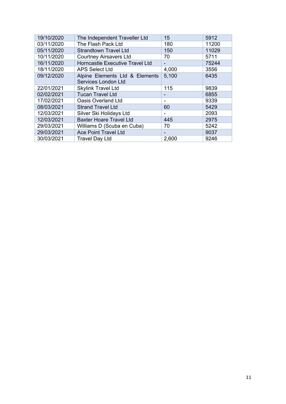| 19/10/2020 | The Independent Traveller Ltd   | 15    | 5912  |
|------------|---------------------------------|-------|-------|
| 03/11/2020 | The Flash Pack Ltd              | 180   | 11200 |
| 05/11/2020 | <b>Strandtown Travel Ltd</b>    | 150   | 11029 |
| 10/11/2020 | <b>Courtney Airsavers Ltd</b>   | 70    | 5711  |
| 16/11/2020 | Horncastle Executive Travel Ltd | -     | 75244 |
| 18/11/2020 | <b>APS Select Ltd</b>           | 4,000 | 3556  |
| 09/12/2020 | Alpine Elements Ltd & Elements  | 5,100 | 6435  |
|            | Services London Ltd             |       |       |
| 22/01/2021 | <b>Skylink Travel Ltd</b>       | 115   | 9839  |
| 02/02/2021 | <b>Tucan Travel Ltd</b>         |       | 6855  |
| 17/02/2021 | <b>Oasis Overland Ltd</b>       | ۰     | 9339  |
| 08/03/2021 | <b>Strand Travel Ltd</b>        | 60    | 5429  |
| 12/03/2021 | Silver Ski Holidays Ltd         | -     | 2093  |
| 12/03/2021 | <b>Baxter Hoare Travel Ltd</b>  | 445   | 2975  |
| 29/03/2021 | Williams D (Scuba en Cuba)      | 70    | 5242  |
| 29/03/2021 | <b>Ace Point Travel Ltd</b>     | -     | 9037  |
| 30/03/2021 | <b>Travel Day Ltd</b>           | 2,600 | 9246  |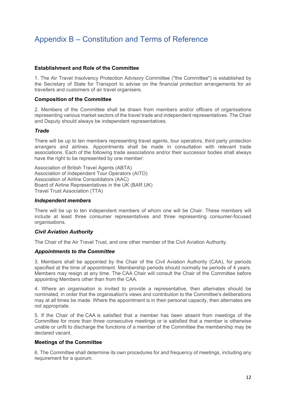# <span id="page-11-0"></span>Appendix B – Constitution and Terms of Reference

#### **Establishment and Role of the Committee**

1. The Air Travel Insolvency Protection Advisory Committee ("the Committee") is established by the Secretary of State for Transport to advise on the financial protection arrangements for air travellers and customers of air travel organisers.

#### **Composition of the Committee**

2. Members of the Committee shall be drawn from members and/or officers of organisations representing various market sectors of the travel trade and independent representatives. The Chair and Deputy should always be independent representatives.

## *Trade*

There will be up to ten members representing travel agents, tour operators, third party protection arrangers and airlines. Appointments shall be made in consultation with relevant trade associations. Each of the following trade associations and/or their successor bodies shall always have the right to be represented by one member:

Association of British Travel Agents (ABTA) Association of Independent Tour Operators (AITO) Association of Airline Consolidators (AAC) Board of Airline Representatives in the UK (BAR UK) Travel Trust Association (TTA)

#### *Independent members*

There will be up to ten independent members of whom one will be Chair. These members will include at least three consumer representatives and three representing consumer-focused organisations.

## *Civil Aviation Authority*

The Chair of the Air Travel Trust, and one other member of the Civil Aviation Authority.

#### *Appointments to the Committee*

3. Members shall be appointed by the Chair of the Civil Aviation Authority (CAA), for periods specified at the time of appointment. Membership periods should normally be periods of 4 years. Members may resign at any time. The CAA Chair will consult the Chair of the Committee before appointing Members other than from the CAA.

4. Where an organisation is invited to provide a representative, then alternates should be nominated, in order that the organisation's views and contribution to the Committee's deliberations may at all times be made. Where the appointment is in their personal capacity, then alternates are not appropriate.

5. If the Chair of the CAA is satisfied that a member has been absent from meetings of the Committee for more than three consecutive meetings or is satisfied that a member is otherwise unable or unfit to discharge the functions of a member of the Committee the membership may be declared vacant.

#### **Meetings of the Committee**

6. The Committee shall determine its own procedures for and frequency of meetings, including any requirement for a quorum.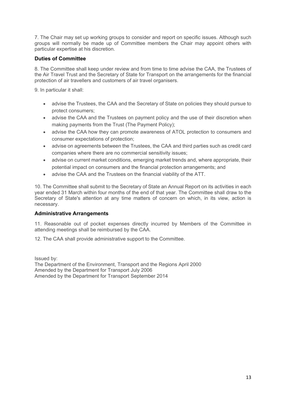7. The Chair may set up working groups to consider and report on specific issues. Although such groups will normally be made up of Committee members the Chair may appoint others with particular expertise at his discretion.

# **Duties of Committee**

8. The Committee shall keep under review and from time to time advise the CAA, the Trustees of the Air Travel Trust and the Secretary of State for Transport on the arrangements for the financial protection of air travellers and customers of air travel organisers.

9. In particular it shall:

- advise the Trustees, the CAA and the Secretary of State on policies they should pursue to protect consumers;
- advise the CAA and the Trustees on payment policy and the use of their discretion when making payments from the Trust (The Payment Policy);
- advise the CAA how they can promote awareness of ATOL protection to consumers and consumer expectations of protection;
- advise on agreements between the Trustees, the CAA and third parties such as credit card companies where there are no commercial sensitivity issues;
- advise on current market conditions, emerging market trends and, where appropriate, their potential impact on consumers and the financial protection arrangements; and
- advise the CAA and the Trustees on the financial viability of the ATT.

10. The Committee shall submit to the Secretary of State an Annual Report on its activities in each year ended 31 March within four months of the end of that year. The Committee shall draw to the Secretary of State's attention at any time matters of concern on which, in its view, action is necessary.

## **Administrative Arrangements**

11. Reasonable out of pocket expenses directly incurred by Members of the Committee in attending meetings shall be reimbursed by the CAA.

12. The CAA shall provide administrative support to the Committee.

Issued by: The Department of the Environment, Transport and the Regions April 2000 Amended by the Department for Transport July 2006 Amended by the Department for Transport September 2014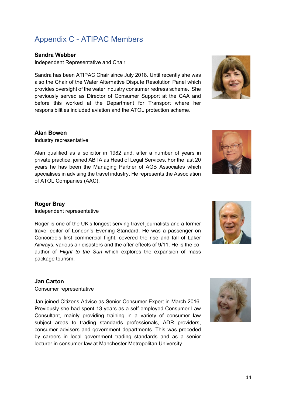# <span id="page-13-0"></span>Appendix C - ATIPAC Members

## **Sandra Webber**

Independent Representative and Chair

Sandra has been ATIPAC Chair since July 2018. Until recently she was also the Chair of the Water Alternative Dispute Resolution Panel which provides oversight of the water industry consumer redress scheme. She previously served as Director of Consumer Support at the CAA and before this worked at the Department for Transport where her responsibilities included aviation and the ATOL protection scheme.



## **Alan Bowen**

Industry representative

Alan qualified as a solicitor in 1982 and, after a number of years in private practice, joined ABTA as Head of Legal Services. For the last 20 years he has been the Managing Partner of AGB Associates which specialises in advising the travel industry. He represents the Association of ATOL Companies (AAC).

# **Roger Bray**

Independent representative

Roger is one of the UK's longest serving travel journalists and a former travel editor of London's Evening Standard. He was a passenger on Concorde's first commercial flight, covered the rise and fall of Laker Airways, various air disasters and the after effects of 9/11. He is the coauthor of *Flight to the Sun* which explores the expansion of mass package tourism.

## **Jan Carton**

Consumer representative

Jan joined Citizens Advice as Senior Consumer Expert in March 2016. Previously she had spent 13 years as a self-employed Consumer Law Consultant, mainly providing training in a variety of consumer law subject areas to trading standards professionals, ADR providers, consumer advisers and government departments. This was preceded by careers in local government trading standards and as a senior lecturer in consumer law at Manchester Metropolitan University.





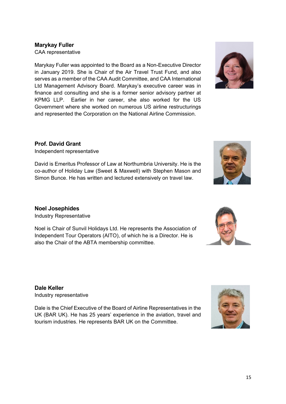# **Marykay Fuller**

CAA representative

Marykay Fuller was appointed to the Board as a Non-Executive Director in January 2019. She is Chair of the Air Travel Trust Fund, and also serves as a member of the CAA Audit Committee, and CAA International Ltd Management Advisory Board. Marykay's executive career was in finance and consulting and she is a former senior advisory partner at KPMG LLP. Earlier in her career, she also worked for the US Government where she worked on numerous US airline restructurings and represented the Corporation on the National Airline Commission.

# **Prof. David Grant**

Independent representative

David is Emeritus Professor of Law at Northumbria University. He is the co-author of Holiday Law (Sweet & Maxwell) with Stephen Mason and Simon Bunce. He has written and lectured extensively on travel law.

# **Noel Josephides**

Industry Representative

Noel is Chair of Sunvil Holidays Ltd. He represents the Association of Independent Tour Operators (AITO), of which he is a Director. He is also the Chair of the ABTA membership committee.

**Dale Keller** Industry representative

Dale is the Chief Executive of the Board of Airline Representatives in the UK (BAR UK). He has 25 years' experience in the aviation, travel and tourism industries. He represents BAR UK on the Committee.









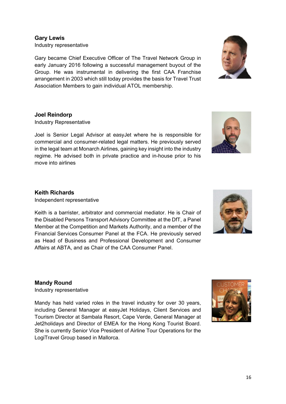**Gary Lewis** Industry representative

Gary became Chief Executive Officer of The Travel Network Group in early January 2016 following a successful management buyout of the Group. He was instrumental in delivering the first CAA Franchise arrangement in 2003 which still today provides the basis for Travel Trust Association Members to gain individual ATOL membership.

#### **Joel Reindorp**

Industry Representative

Joel is Senior Legal Advisor at easyJet where he is responsible for commercial and consumer-related legal matters. He previously served in the legal team at Monarch Airlines, gaining key insight into the industry regime. He advised both in private practice and in-house prior to his move into airlines

## **Keith Richards**

Independent representative

Keith is a barrister, arbitrator and commercial mediator. He is Chair of the Disabled Persons Transport Advisory Committee at the DfT, a Panel Member at the Competition and Markets Authority, and a member of the Financial Services Consumer Panel at the FCA. He previously served as Head of Business and Professional Development and Consumer Affairs at ABTA, and as Chair of the CAA Consumer Panel.

**Mandy Round** Industry representative

Mandy has held varied roles in the travel industry for over 30 years, including General Manager at easyJet Holidays, Client Services and Tourism Director at Sambala Resort, Cape Verde, General Manager at Jet2holidays and Director of EMEA for the Hong Kong Tourist Board. She is currently Senior Vice President of Airline Tour Operations for the LogiTravel Group based in Mallorca.









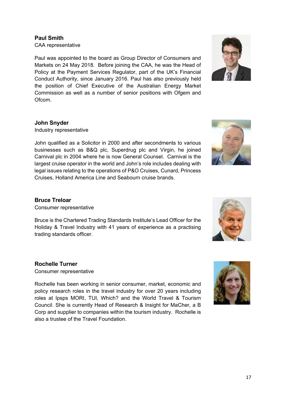# **Paul Smith**

CAA representative

Paul was appointed to the board as Group Director of Consumers and Markets on 24 May 2018. Before joining the CAA, he was the Head of Policy at the Payment Services Regulator, part of the UK's Financial Conduct Authority, since January 2016. Paul has also previously held the position of Chief Executive of the Australian Energy Market Commission as well as a number of senior positions with Ofgem and Ofcom.



## **John Snyder**

Industry representative

John qualified as a Solicitor in 2000 and after secondments to various businesses such as B&Q plc, Superdrug plc and Virgin, he joined Carnival plc in 2004 where he is now General Counsel. Carnival is the largest cruise operator in the world and John's role includes dealing with legal issues relating to the operations of P&O Cruises, Cunard, Princess Cruises, Holland America Line and Seabourn cruise brands.



## **Bruce Treloar**

Consumer representative

Bruce is the Chartered Trading Standards Institute's Lead Officer for the Holiday & Travel Industry with 41 years of experience as a practising trading standards officer.

## **Rochelle Turner**

Consumer representative

Rochelle has been working in senior consumer, market, economic and policy research roles in the travel industry for over 20 years including roles at Ipsps MORI, TUI, Which? and the World Travel & Tourism Council. She is currently Head of Research & Insight for MaCher, a B Corp and supplier to companies within the tourism industry. Rochelle is also a trustee of the Travel Foundation.